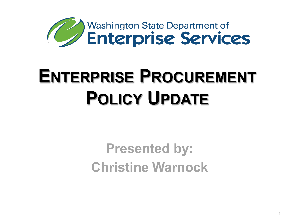

# **ENTERPRISE PROCUREMENT POLICY UPDATE**

**Presented by: Christine Warnock**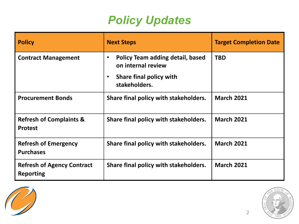#### *Policy Updates*

| <b>Policy</b>                                         | <b>Next Steps</b>                                                                                                                   | <b>Target Completion Date</b> |
|-------------------------------------------------------|-------------------------------------------------------------------------------------------------------------------------------------|-------------------------------|
| <b>Contract Management</b>                            | <b>Policy Team adding detail, based</b><br>$\bullet$<br>on internal review<br>Share final policy with<br>$\bullet$<br>stakeholders. | <b>TBD</b>                    |
| <b>Procurement Bonds</b>                              | Share final policy with stakeholders.                                                                                               | <b>March 2021</b>             |
| <b>Refresh of Complaints &amp;</b><br><b>Protest</b>  | Share final policy with stakeholders.                                                                                               | <b>March 2021</b>             |
| <b>Refresh of Emergency</b><br><b>Purchases</b>       | Share final policy with stakeholders.                                                                                               | <b>March 2021</b>             |
| <b>Refresh of Agency Contract</b><br><b>Reporting</b> | Share final policy with stakeholders.                                                                                               | <b>March 2021</b>             |



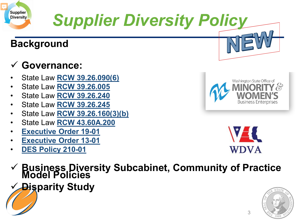

# *Supplier Diversity Policy*

#### **Background**

#### **Governance:**

- State Law **[RCW 39.26.090\(6\)](https://app.leg.wa.gov/RCW/default.aspx?cite=39.26.090)**
- State Law **[RCW 39.26.005](https://app.leg.wa.gov/RCW/default.aspx?cite=39.26.005)**
- State Law **[RCW 39.26.240](http://app.leg.wa.gov/RCW/default.aspx?cite=39.26.240)**
- State Law **[RCW 39.26.245](https://apps.leg.wa.gov/rcw/default.aspx?cite=39.26&full=true#39.26.245)**
- State Law **[RCW 39.26.160\(3\)\(b\)](https://app.leg.wa.gov/RCW/default.aspx?cite=39.26.160)**
- State Law **[RCW 43.60A.200](https://app.leg.wa.gov/RCW/default.aspx?cite=43.60A.200)**
- **[Executive Order 19-01](https://www.governor.wa.gov/sites/default/files/exe_order/19-01_VeteranAndMilitaryFamily%20.pdf)**
- **[Executive Order 13-01](https://www.governor.wa.gov/sites/default/files/exe_order/eo_13-01.pdf)**
- **[DES Policy 210-01](mailto:https://des.wa.gov/sites/default/files/public/documents/About/Procurement_reform/Policies/DES-210-01AgencyContractReporting.pdf?=c04df)**



Washington State Office of

*A* **MINORITY &<br>WOMEN'S<br>Business Enterprises** 

- **Business Diversity Subcabinet, Community of Practice Model Policies**
- **Disparity Study**

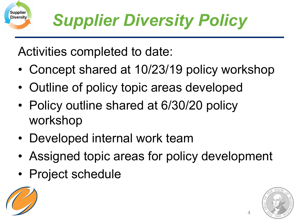Activities completed to date:

- Concept shared at 10/23/19 policy workshop
- Outline of policy topic areas developed
- Policy outline shared at 6/30/20 policy workshop
- Developed internal work team
- Assigned topic areas for policy development
- Project schedule



Supplier **Diversity** 

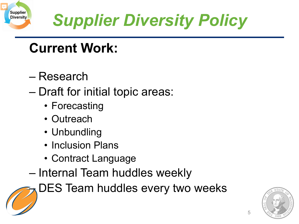

# *Supplier Diversity Policy*

## **Current Work:**

- Research
- Draft for initial topic areas:
	- Forecasting
	- Outreach
	- Unbundling
	- Inclusion Plans
	- Contract Language
- Internal Team huddles weekly

DES Team huddles every two weeks

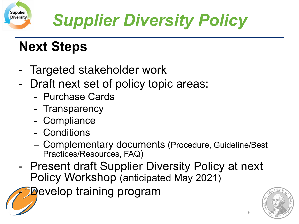

## **Next Steps**

Supplier **Diversity** 

- Targeted stakeholder work
- - Draft next set of policy topic areas:
	- Purchase Cards
	- Transparency
	- Compliance
	- Conditions
	- Complementary documents (Procedure, Guideline/Best Practices/Resources, FAQ)
- Present draft Supplier Diversity Policy at next Policy Workshop (anticipated May 2021)

**Develop training program** 

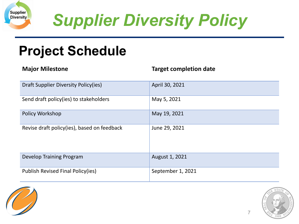

*Supplier Diversity Policy* 

### **Project Schedule**

| <b>Major Milestone</b>                      | <b>Target completion date</b> |
|---------------------------------------------|-------------------------------|
| Draft Supplier Diversity Policy(ies)        | April 30, 2021                |
| Send draft policy(ies) to stakeholders      | May 5, 2021                   |
| Policy Workshop                             | May 19, 2021                  |
| Revise draft policy(ies), based on feedback | June 29, 2021                 |
| Develop Training Program                    | August 1, 2021                |
| Publish Revised Final Policy(ies)           | September 1, 2021             |